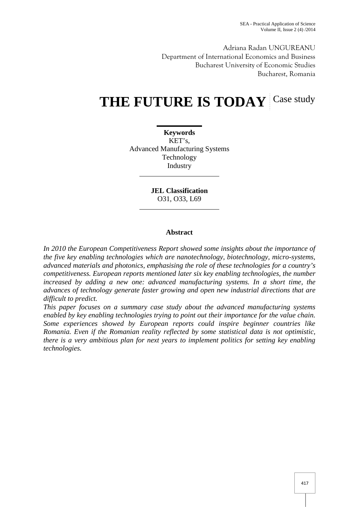Adriana Radan UNGUREANU Department of International Economics and Business Bucharest University of Economic Studies Bucharest, Romania

# THE FUTURE IS TODAY Case study

**Keywords** KET's, Advanced Manufacturing Systems Technology Industry

> **JEL Classification** O31, O33, L69

## **Abstract**

*In 2010 the European Competitiveness Report showed some insights about the importance of the five key enabling technologies which are nanotechnology, biotechnology, micro-systems, advanced materials and photonics, emphasising the role of these technologies for a country's competitiveness. European reports mentioned later six key enabling technologies, the number increased by adding a new one: advanced manufacturing systems. In a short time, the advances of technology generate faster growing and open new industrial directions that are difficult to predict.*

*This paper focuses on a summary case study about the advanced manufacturing systems enabled by key enabling technologies trying to point out their importance for the value chain. Some experiences showed by European reports could inspire beginner countries like Romania. Even if the Romanian reality reflected by some statistical data is not optimistic, there is a very ambitious plan for next years to implement politics for setting key enabling technologies.*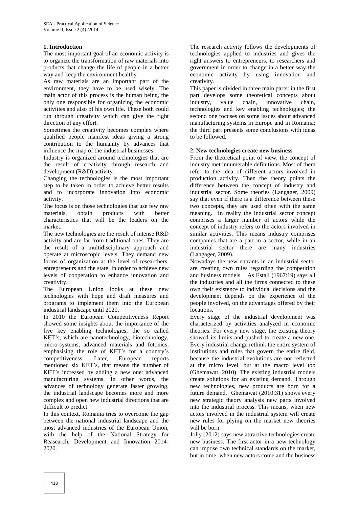## **1. Introduction**

The most important goal of an economic activity is to organize the transformation of raw materials into products that change the life of people in a better way and keep the environment healthy.

As raw materials are an important part of the environment, they have to be used wisely. The main actor of this process is the human being, the only one responsible for organizing the economic activities and also of his own life. These both could run through creativity which can give the right direction of any effort.

Sometimes the creativity becomes complex where qualified people manifest ideas giving a strong contribution to the humanity by advances that influence the map of the industrial businesses.

Industry is organized around technologies that are the result of creativity through research and development (R&D) activity.

Changing the technologies is the most important step to be taken in order to achieve better results and to incorporate innovation into economic activity.

The focus is on those technologies that use few raw materials, obtain products with better characteristics that will be the leaders on the market.

The new technologies are the result of intense R&D activity and are far from traditional ones. They are the result of a multidisciplinary approach and operate at microscopic levels. They demand new forms of organization at the level of researchers, entrepreneurs and the state, in order to achieve new levels of cooperation to enhance innovation and creativity.

The European Union looks at these new technologies with hope and draft measures and programs to implement them into the European industrial landscape until 2020.

In 2010 the European Competitiveness Report showed some insights about the importance of the five key enabling technologies, the so called KET's, which are nanotechnology, biotechnology, micro-systems, advanced materials and fotonics, emphasising the role of KET's for a country's competitiveness. Later, European reports mentioned six KET's, that means the number of KET's increased by adding a new one: advanced manufacturing systems. In other words, the advances of technology generate faster growing, the industrial landscape becomes more and more complex and open new industrial directions that are difficult to predict.

In this context, Romania tries to overcome the gap between the national industrial landscape and the most advanced industries of the European Union, with the help of the National Strategy for Reasearch, Development and Innovation 2014- 2020.

The research activity follows the developments of technologies applied to industries and gives the right answers to entrepreneurs, to researchers and government in order to change in a better way the economic activity by using innovation and creativity.

This paper is divided in three main parts: in the first part develops some theoretical concepts about industry, value chain, innovative chain, technologies and key enabling technologies; the second one focuses on some issues about advanced manufacturing systems in Europe and in Romania; the third part presents some conclusions with ideas to be followed.

## **2. New technologies create new business**

From the theoretical point of view, the concept of industry met innumerable definitions. Most of them refer to the idea of different actors involved in production activity. Then the theory points the difference between the concept of industry and industrial sector. Some theories (Langager, 2009) say that even if there is a difference between these two concepts, they are used often with the same meaning. In reality the industrial sector concept comprises a larger number of actors while the concept of industry refers to the actors involved in similar activities. This means industry comprises companies that are a part in a sector, while in an industrial sector there are many industries (Langager, 2009).

Nowadays the new entrants in an industrial sector are creating own rules regarding the competition and business models. As Estall (1967:19) says all the industries and all the firms connected to these own their existence to individual decisions and the development depends on the experience of the people involved, on the advantages offered by their locations.

Every stage of the industrial development was characterized by activities analyzed in economic theories. For every new stage, the existing theory showed its limits and pushed to create a new one. Every industrial change rethink the entire system of institutions and rules that govern the entire field, because the industrial evolutions are not reflected at the micro level, but at the macro level too (Ghemawat, 2010). The existing industrial models create solutions for an existing demand. Through new technologies, new products are born for a future demand. Ghemawat (2010:31) shows every new strategic theory analysis new parts involved into the industrial process. This means, when new actors involved in the industrial system will create new rules for plying on the market new theories will be born.

Jolly (2012) says new attractive technologies create new business. The first actor in a new technology can impose own technical standards on the market, but in time, when new actors come and the business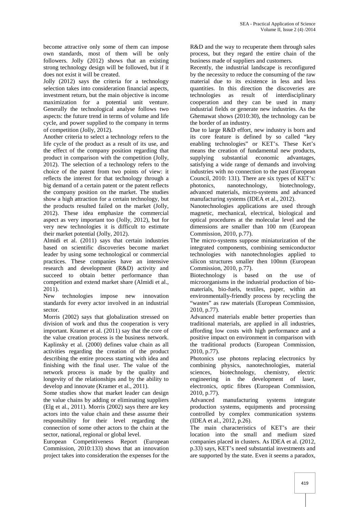become attractive only some of them can impose own standards, most of them will be only followers. Jolly (2012) shows that an existing strong technology design will be followed, but if it does not exist it will be created.

Jolly (2012) says the criteria for a technology selection takes into consideration financial aspects, investment return, but the main objective is income maximization for a potential unit venture. Generally the technological analyse follows two aspects: the future trend in terms of volume and life cycle, and power supplied to the company in terms of competition (Jolly, 2012).

Another criteria to select a technology refers to the life cycle of the product as a result of its use, and the effect of the company position regarding that product in comparison with the competition (Jolly, 2012). The selection of a technology refers to the choice of the patent from two points of view: it reflects the interest for that technology through a big demand of a certain patent or the patent reflects the company position on the market. The studies show a high attraction for a certain technology, but the products resulted failed on the market (Jolly, 2012). These idea emphasize the commercial aspect as very important too (Jolly, 2012), but for very new technologies it is difficult to estimate their market potential (Jolly, 2012).

Almidi et al. (2011) says that certain industries based on scientific discoveries become market leader by using some technological or commercial practices. These companies have an intensive research and development (R&D) activity and succeed to obtain better performance than competition and extend market share (Almidi et al., 2011).

New technologies impose new innovation standards for every actor involved in an industrial sector.

Morris (2002) says that globalization stressed on division of work and thus the cooperation is very important. Kramer et al. (2011) say that the core of the value creation process is the business network. Kaplinsky et al. (2000) defines value chain as all activities regarding the creation of the product describing the entire process starting with idea and finishing with the final user. The value of the network process is made by the quality and longevity of the relationships and by the ability to develop and innovate (Kramer et al., 2011).

Some studies show that market leader can design the value chains by adding or eliminating suppliers (Elg et al., 2011). Morris (2002) says there are key actors into the value chain and these assume their responsibility for their level regarding the connection of some other actors to the chain at the sector, national, regional or global level.

European Competitiveness Report (European Commission, 2010:133) shows that an innovation project takes into consideration the expenses for the

R&D and the way to recuperate them through sales process, but they regard the entire chain of the business made of suppliers and customers.

Recently, the industrial landscape is reconfigured by the necessity to reduce the consuming of the raw material due to its existence in less and less quantities. In this direction the discoveries are technologies as result of interdisciplinary cooperation and they can be used in many industrial fields or generate new industries. As the Ghemawat shows (2010:30), the technology can be the border of an industry.

Due to large R&D effort, new industry is born and its core feature is defined by so called "key enabling technologies" or KET's. These Ket's means the creation of fundamental new products, supplying substantial economic advantages, satisfying a wide range of demands and involving industries with no connection to the past (European Council, 2010: 131). There are six types of KET's: photonics, nanotechnology, biotechnology, advanced materials, micro-systems and advanced manufacturing systems (IDEA et al., 2012).

Nanotechnologies applications are used through magnetic, mechanical, electrical, biological and optical procedures at the molecular level and the dimensions are smaller than 100 nm (European Commission, 2010, p.77).

The micro-systems suppose miniaturization of the integrated components, combining semiconductor technologies with nanotechnologies applied to silicon structures smaller then 100nm (European Commission, 2010, p.77).

Biotechnology is based on the use of microorganisms in the industrial production of bio materials, bio-fuels, textiles, paper, within an environmentally-friendly process by recycling the "wastes" as raw materials (European Commission, 2010, p.77).

Advanced materials enable better properties than traditional materials, are applied in all industries, affording low costs with high performance and a positive impact on environment in comparison with the traditional products (European Commission, 2010, p.77).

Photonics use photons replacing electronics by combining physics, nanotechnologies, material biotechnology, chemistry, electric engineering in the development of laser, electronics, optic fibres (European Commission, 2010, p.77).

Advanced manufacturing systems integrate production systems, equipments and processing controlled by complex communication systems (IDEA et al., 2012, p.26).

The main characteristics of KET's are their location into the small and medium sized companies placed in clusters. As IDEA et al. (2012, p.33) says, KET's need substantial investments and are supported by the state. Even it seems a paradox,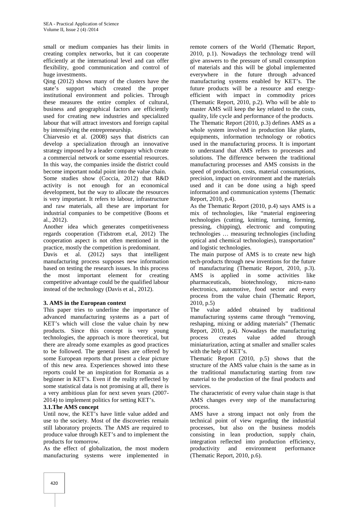small or medium companies has their limits in creating complex networks, but it can cooperate efficiently at the international level and can offer flexibility, good communication and control of huge investments.

Qing (2012) shows many of the clusters have the state's support which created the proper institutional environment and policies. Through these measures the entire complex of cultural, business and geographical factors are efficiently used for creating new industries and specialized labour that will attract investors and foreign capital by intensifying the entrepreneurship.

Chiarvesio et al. (2008) says that districts can develop a specialization through an innovative strategy imposed by a leader company which create a commercial network or some essential resources. In this way, the companies inside the district could become important nodal point into the value chain.

Some studies show (Coccia, 2012) that R&D activity is not enough for an economical development, but the way to allocate the resources is very important. It refers to labour, infrastructure and raw materials, all these are important for industrial companies to be competitive (Boons et al., 2012).

Another idea which generates competitiveness regards cooperation (Tidstrom et.al, 2012) The cooperation aspect is not often mentioned in the practice, mostly the competition is predominant.

Davis et al. (2012) says that intelligent manufacturing process supposes new information based on testing the research issues. In this process the most important element for creating competitive advantage could be the qualified labour instead of the technology (Davis et al., 2012).

## **3. AMS in the European context**

This paper tries to underline the importance of advanced manufacturing systems as a part of KET's which will close the value chain by new products. Since this concept is very young technologies, the approach is more theoretical, but there are already some examples as good practices to be followed. The general lines are offered by some European reports that present a clear picture of this new area. Experiences showed into these reports could be an inspiration for Romania as a beginner in KET's. Even if the reality reflected by some statistical data is not promising at all, there is a very ambitious plan for next seven years (2007- 2014) to implement politics for setting KET's.

## **3.1.The AMS concept**

Until now, the KET's have little value added and use to the society. Most of the discoveries remain still laboratory projects. The AMS are required to produce value through KET's and to implement the products for tomorrow.

As the effect of globalization, the most modern productivity and manufacturing systems were implemented in

remote corners of the World (Thematic Report, 2010, p.1). Nowadays the technology trend will give answers to the pressure of small consumption of materials and this will be global implemented everywhere in the future through advanced manufacturing systems enabled by KET's. The future products will be a resource and energy efficient with impact in commodity prices (Thematic Report, 2010, p.2). Who will be able to master AMS will keep the key related to the costs, quality, life cycle and performance of the products. The Thematic Report (2010, p.3) defines AMS as a whole system involved in production like plants, equipments, information technology or robotics used in the manufacturing process. It is important to understand that AMS refers to processes and solutions. The difference between the traditional manufacturing processes and AMS consists in the speed of production, costs, material consumptions, precision, impact on environment and the materials used and it can be done using a high speed information and communication systems (Thematic Report, 2010, p.4).

As the Thematic Report (2010, p.4) says AMS is a mix of technologies, like "material engineering technologies (cutting, knitting, turning, forming, pressing, chipping), electronic and computing technologies … measuring technologies (including optical and chemical technologies), transportation" and logistic technologies.

The main purpose of AMS is to create new high tech-products through new inventions for the future of manufacturing (Thematic Report, 2010, p.3). AMS is applied in some activities like pharmaceuticals, biotechnology, micro-nano electronics, automotive, food sector and every process from the value chain (Thematic Report, 2010, p.5)

The value added obtained by traditional manufacturing systems came through "removing, reshaping, mixing or adding materials" (Thematic Report, 2010, p.4). Nowadays the manufacturing process creates value added through miniaturization, acting at smaller and smaller scales with the help of KET's.

Thematic Report (2010, p.5) shows that the structure of the AMS value chain is the same as in the traditional manufacturing starting from raw material to the production of the final products and services.

The characteristic of every value chain stage is that AMS changes every step of the manufacturing process.

AMS have a strong impact not only from the technical point of view regarding the industrial processes, but also on the business models consisting in lean production, supply chain, integration reflected into production efficiency, environment performance (Thematic Report, 2010, p.6).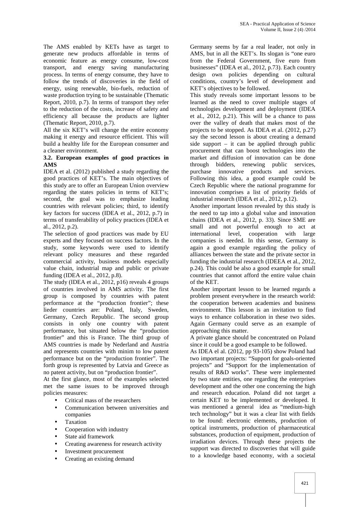The AMS enabled by KETs have as target to generate new products affordable in terms of economic feature as energy consume, low-cost transport, and energy saving manufacturing process. In terms of energy consume, they have to follow the trends of discoveries in the field of energy, using renewable, bio-fuels, reduction of waste production trying to be sustainable (Thematic Report, 2010, p.7). In terms of transport they refer to the reduction of the costs, increase of safety and efficiency all because the products are lighter (Thematic Report, 2010, p.7).

All the six KET's will change the entire economy making it energy and resource efficient. This will build a healthy life for the European consumer and a cleaner environment.

## **3.2. European examples of good practices in AMS**

IDEA et al. (2012) published a study regarding the good practices of KET's. The main objectives of this study are to offer an European Union overview regarding the states policies in terms of KET's; second, the goal was to emphasize leading countries with relevant policies; third, to identify key factors for success (IDEA et al., 2012, p.7) in terms of transferability of policy practices (IDEA et al., 2012, p.2).

The selection of good practices was made by EU experts and they focused on success factors. In the study, some keywords were used to identify relevant policy measures and these regarded commercial activity, business models especially value chain, industrial map and public or private funding (IDEA et al., 2012, p.8).

The study (IDEA et al., 2012, p16) reveals 4 groups of countries involved in AMS activity. The first group is composed by countries with patent performance at the "production frontier"; these lieder countries are: Poland, Italy, Sweden, Germany, Czech Republic. The second group consists in only one country with patent performance, but situated below the "production frontier" and this is France. The third group of AMS countries is made by Nederland and Austria and represents countries with minim to low patent performance but on the "production frontier". The forth group is represented by Latvia and Greece as no patent activity, but on "production frontier".

At the first glance, most of the examples selected met the same issues to be improved through policies measures:

- Critical mass of the researchers
- Communication between universities and companies
- Taxation
- Cooperation with industry
- State aid framework
- Creating awareness for research activity
- Investment procurement
- Creating an existing demand

Germany seems by far a real leader, not only in AMS, but in all the KET's. Its slogan is "one euro from the Federal Government, five euro from businesses" (IDEA et al., 2012, p.73). Each country design own policies depending on cultural conditions, country's level of development and KET's objectives to be followed.

This study reveals some important lessons to be learned as the need to cover multiple stages of technologies development and deployment (IDEA et al., 2012, p.21). This will be a chance to pass over the valley of death that makes most of the projects to be stopped. As IDEA et al. (2012, p.27) say the second lesson is about creating a demand side support  $-$  it can be applied through public procurement that can boost technologies into the market and diffusion of innovation can be done through bidders, renewing public services, purchase innovative products and services. Following this idea, a good example could be Czech Republic where the national programme for innovation comprises a list of priority fields of industrial research (IDEA et al., 2012, p.12).

Another important lesson revealed by this study is the need to tap into a global value and innovation chains (IDEA et al., 2012, p. 33). Since SME are small and not powerful enough to act at international level, cooperation with large companies is needed. In this sense, Germany is again a good example regarding the policy of alliances between the state and the private sector in funding the industrial research (IDEEA et al., 2012, p.24). This could be also a good example for small countries that cannot afford the entire value chain of the KET.

Another important lesson to be learned regards a problem present everywhere in the research world: the cooperation between academies and business environment. This lesson is an invitation to find ways to enhance collaboration in these two sides. Again Germany could serve as an example of approaching this matter.

A private glance should be concentrated on Poland since it could be a good example to be followed.

As IDEA el al. (2012, pp 93-105) show Poland had two important projects: "Support for goals-oriented projects" and "Support for the implementation of results of R&D works". These were implemented by two state entities, one regarding the enterprises development and the other one concerning the high and research education. Poland did not target a certain KET to be implemented or developed. It was mentioned a general idea as "medium-high tech technology" but it was a clear list with fields to be found: electronic elements, production of optical instruments, production of pharmaceutical substances, production of equipment, production of irradiation devices. Through these projects the support was directed to discoveries that will guide to a knowledge based economy, with a societal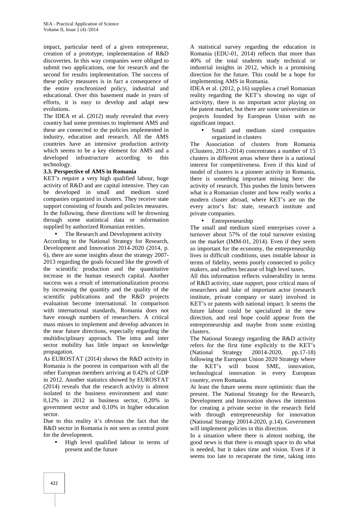impact, particular need of a given entrepreneur, creation of a prototype, implementation of R&D discoveries. In this way companies were obliged to submit two applications, one for research and the second for results implementation. The success of these policy measures is in fact a consequence of the entire synchronized policy, industrial and educational. Over this basement made in years of efforts, it is easy to develop and adapt new evolutions.

The IDEA et al. (2012) study revealed that every country had some premises to implement AMS and these are connected to the policies implemented in industry, education and research. All the AMS countries have an intensive production activity which seems to be a key element for AMS and a developed infrastructure according to this technology.

## **3.3. Perspective of AMS in Romania**

KET's require a very high qualified labour, huge activity of R&D and are capital intensive. They can be developed in small and medium sized companies organized in clusters. They receive state support consisting of founds and policies measures. In the following, these directions will be drowning through some statistical data or information supplied by authorized Romanian entities.

The Research and Development activity

According to the National Strategy for Research, Development and Innovation 2014-2020 (2014, p. 6), there are some insights about the strategy 2007- 2013 regarding the goals focused like the growth of the scientific production and the quantitative increase in the human research capital. Another success was a result of internationalization process by increasing the quantity and the quality of the scientific publications and the R&D projects evaluation become international. In comparison with international standards, Romania does not have enough numbers of researchers. A critical mass misses to implement and develop advances in the near future directions, especially regarding the multidisciplinary approach. The intra and inter sector mobility has little impact on knowledge propagation.

As EUROSTAT (2014) shows the R&D activity in Romania is the poorest in comparison with all the other European members arriving at 0.42% of GDP in 2012. Another statistics showed by EUROSTAT (2014) reveals that the research activity is almost isolated to the business environment and state: 0,12% in 2012 in business sector, 0,20% in government sector and 0,10% in higher education sector.

Due to this reality it's obvious the fact that the R&D sector in Romania is not seen as central point for the development.

 High level qualified labour in terms of present and the future

A statistical survey regarding the education in Romania (EDU-01, 2014) reflects that more than 40% of the total students study technical or industrial insights in 2012, which is a promising direction for the future. This could be a hope for implementing AMS in Romania.

IDEA et al. (2012, p.16) supplies a cruel Romanian reality regarding the KET's showing no sign of activityty, there is no important actor playing on the patent market, but there are some universities or projects founded by European Union with no significant impact.

 Small and medium sized companies organized in clusters

The Association of clusters from Romania (Clustero, 2011-2014) concentrates a number of 15 clusters in different areas where there is a national interest for competitiveness. Even if this kind of model of clusters is a pioneer activity in Romania, there is something important missing here: the activity of research. This pushes the limits between what is a Romanian cluster and how really works a modern cluster abroad, where KET's are on the every actor's list: state, research institute and private companies.

#### Entrepreneurship

The small and medium sized enterprises cover a turnover about 57% of the total turnover existing on the market (IMM-01, 2014). Even if they seem so important for the economy, the entrepreneurship lives in difficult conditions, uses instable labour in terms of fidelity, seems poorly connected to policy makers, and suffers because of high level taxes.

All this information reflects vulnerability in terms of R&D activity, state support, poor critical mass of researchers and lake of important actor (research institute, private company or state) involved in KET's or patents with national impact. It seems the future labour could be specialized in the new direction, and real hope could appear from the entrepreneurship and maybe from some existing clusters.

The National Strategy regarding the R&D activity refers for the first time explicitly to the KET's (National Strategy 20014-2020, pp.17-18) following the European Union 2020 Strategy where the KET's will boost SME, innovation, technological innovation in every European country, even Romania.

At least the future seems more optimistic than the present. The National Strategy for the Research, Development and Innovation shows the intention for creating a private sector in the research field with through entrepreneurship for innovation (National Strategy 20014-2020, p.14). Government will implement policies in this direction.

In a situation where there is almost nothing, the good news is that there is enough space to do what is needed, but it takes time and vision. Even if it seems too late to recuperate the time, taking into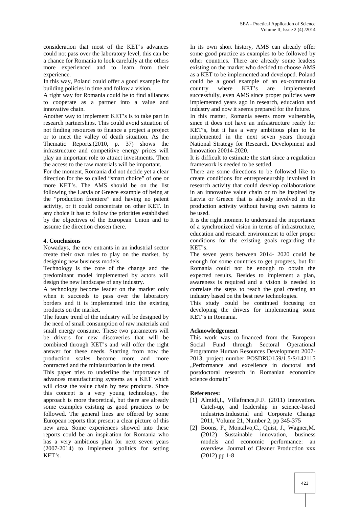consideration that most of the KET's advances could not pass over the laboratory level, this can be a chance for Romania to look carefully at the others more experienced and to learn from their experience.

In this way, Poland could offer a good example for building policies in time and follow a vision.

A right way for Romania could be to find alliances to cooperate as a partner into a value and innovative chain.

Another way to implement KET's is to take part in research partnerships. This could avoid situation of not finding resources to finance a project a project or to meet the valley of death situation. As the Thematic Reports.(2010, p. 37) shows the infrastructure and competitive energy prices will play an important role to attract investments. Then the access to the raw materials will be important.

For the moment, Romania did not decide yet a clear direction for the so called "smart choice" of one or more KET's. The AMS should be on the list following the Latvia or Greece example of being at the "production frontiere" and having no patent activity, or it could concentrate on other KET. In any choice It has to follow the priorities established by the objectives of the European Union and to assume the direction chosen there.

## **4. Conclusions**

Nowadays, the new entrants in an industrial sector create their own rules to play on the market, by designing new business models.

Technology is the core of the change and the predominant model implemented by actors will design the new landscape of any industry.

A technology become leader on the market only when it succeeds to pass over the laboratory borders and it is implemented into the existing products on the market.

The future trend of the industry will be designed by the need of small consumption of raw materials and small energy consume. These two parameters will be drivers for new discoveries that will be combined through KET's and will offer the right answer for these needs. Starting from now the production scales become more and more contracted and the miniaturization is the trend.

This paper tries to underline the importance of advances manufacturing systems as a KET which will close the value chain by new products. Since this concept is a very young technology, the approach is more theoretical, but there are already some examples existing as good practices to be followed. The general lines are offered by some European reports that present a clear picture of this new area. Some experiences showed into these reports could be an inspiration for Romania who has a very ambitious plan for next seven years (2007-2014) to implement politics for setting KET's.

In its own short history, AMS can already offer some good practice as examples to be followed by other countries. There are already some leaders existing on the market who decided to choose AMS as a KET to be implemented and developed. Poland could be a good example of an ex-communist country where KET's are implemented successfully, even AMS since proper policies were implemented years ago in research, education and industry and now it seems prepared for the future.

In this matter, Romania seems more vulnerable, since it does not have an infrastructure ready for KET's, but it has a very ambitious plan to be implemented in the next seven years through National Strategy for Research, Development and Innovation 20014-2020.

It is difficult to estimate the start since a regulation framework is needed to be settled.

There are some directions to be followed like to create conditions for entrepreneurship involved in research activity that could develop collaborations in an innovative value chain or to be inspired by Latvia or Greece that is already involved in the production activity without having own patents to be used.

It is the right moment to understand the importance of a synchronized vision in terms of infrastructure, education and research environment to offer proper conditions for the existing goals regarding the KET's.

The seven years between 2014- 2020 could be enough for some countries to get progress, but for Romania could not be enough to obtain the expected results. Besides to implement a plan, awareness is required and a vision is needed to correlate the steps to reach the goal creating an industry based on the best new technologies.

This study could be continued focusing on developing the drivers for implementing some KET's in Romania.

## **Acknowledgement**

This work was co-financed from the European Social Fund through Sectoral Operational Programme Human Resources Development 2007- 2013, project number POSDRU/159/1.5/S/142115 "Performance and excellence in doctoral and postdoctoral research in Romanian economics science domain"

## **References:**

- [1] Almidi, I., Villafranca, F.F. (2011) Innovation. Catch-up, and leadership in science-based industries.Industrial and Corporate Change 2011, Volume 21, Number 2, pp 345-375
- [2] Boons, F., Montalvo,C., Quist, J., Wagner,M. (2012) Sustainable innovation, business models and economic performance: an overview. Journal of Cleaner Production xxx (2012) pp 1-8